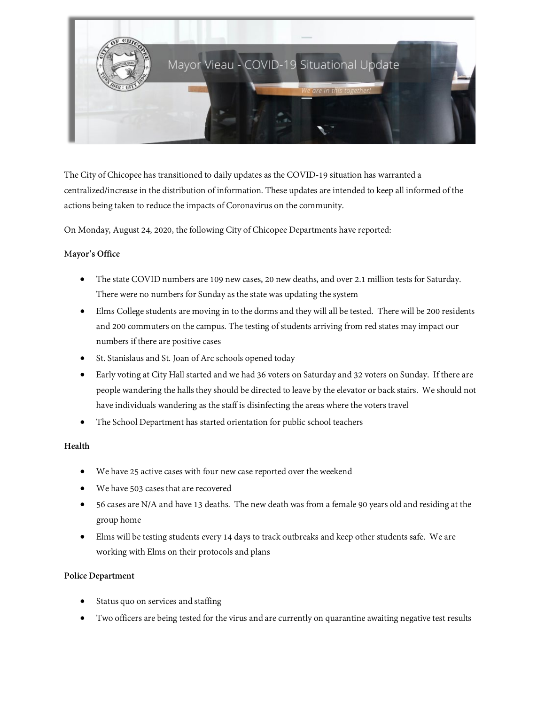

The City of Chicopee has transitioned to daily updates as the COVID-19 situation has warranted a centralized/increase in the distribution of information. These updates are intended to keep all informed of the actions being taken to reduce the impacts of Coronavirus on the community.

On Monday, August 24, 2020, the following City of Chicopee Departments have reported:

### M**ayor's Office**

- The state COVID numbers are 109 new cases, 20 new deaths, and over 2.1 million tests for Saturday. There were no numbers for Sunday as the state was updating the system
- Elms College students are moving in to the dorms and they will all be tested. There will be 200 residents and 200 commuters on the campus. The testing of students arriving from red states may impact our numbers if there are positive cases
- St. Stanislaus and St. Joan of Arc schools opened today
- Early voting at City Hall started and we had 36 voters on Saturday and 32 voters on Sunday. If there are people wandering the halls they should be directed to leave by the elevator or back stairs. We should not have individuals wandering as the staff is disinfecting the areas where the voters travel
- The School Department has started orientation for public school teachers

## **Health**

- We have 25 active cases with four new case reported over the weekend
- We have 503 cases that are recovered
- 56 cases are N/A and have 13 deaths. The new death was from a female 90 years old and residing at the group home
- Elms will be testing students every 14 days to track outbreaks and keep other students safe. We are working with Elms on their protocols and plans

#### **Police Department**

- Status quo on services and staffing
- Two officers are being tested for the virus and are currently on quarantine awaiting negative test results